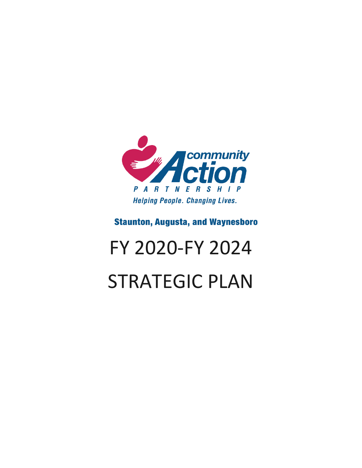

### **Staunton, Augusta, and Waynesboro**

# FY 2020-FY 2024 STRATEGIC PLAN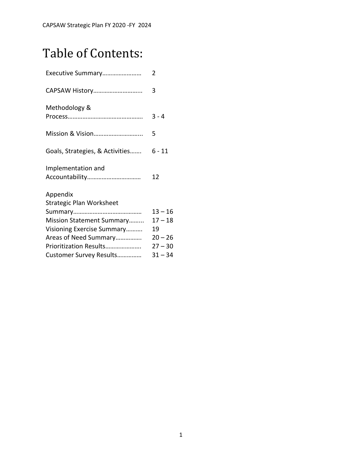# Table of Contents:

| Executive Summary                           | 2         |
|---------------------------------------------|-----------|
| CAPSAW History                              | 3         |
| Methodology &                               | $3 - 4$   |
|                                             | 5         |
| Goals, Strategies, & Activities             | 6 - 11    |
| Implementation and                          | 12        |
| Appendix<br><b>Strategic Plan Worksheet</b> |           |
|                                             | $13 - 16$ |
| Mission Statement Summary                   | $17 - 18$ |
| Visioning Exercise Summary                  | 19        |
| Areas of Need Summary                       | $20 - 26$ |
| Prioritization Results                      | $27 - 30$ |
| Customer Survey Results                     | $31 - 34$ |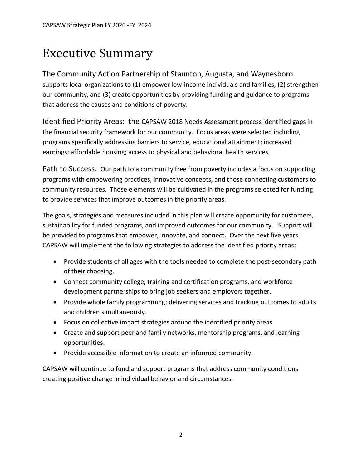# Executive Summary

The Community Action Partnership of Staunton, Augusta, and Waynesboro supports local organizations to (1) empower low-income individuals and families, (2) strengthen our community, and (3) create opportunities by providing funding and guidance to programs that address the causes and conditions of poverty.

Identified Priority Areas: the CAPSAW 2018 Needs Assessment process identified gaps in the financial security framework for our community. Focus areas were selected including programs specifically addressing barriers to service, educational attainment; increased earnings; affordable housing; access to physical and behavioral health services.

Path to Success: Our path to a community free from poverty includes a focus on supporting programs with empowering practices, innovative concepts, and those connecting customers to community resources. Those elements will be cultivated in the programs selected for funding to provide services that improve outcomes in the priority areas.

The goals, strategies and measures included in this plan will create opportunity for customers, sustainability for funded programs, and improved outcomes for our community. Support will be provided to programs that empower, innovate, and connect. Over the next five years CAPSAW will implement the following strategies to address the identified priority areas:

- Provide students of all ages with the tools needed to complete the post-secondary path of their choosing.
- Connect community college, training and certification programs, and workforce development partnerships to bring job seekers and employers together.
- Provide whole family programming; delivering services and tracking outcomes to adults and children simultaneously.
- Focus on collective impact strategies around the identified priority areas.
- Create and support peer and family networks, mentorship programs, and learning opportunities.
- Provide accessible information to create an informed community.

CAPSAW will continue to fund and support programs that address community conditions creating positive change in individual behavior and circumstances.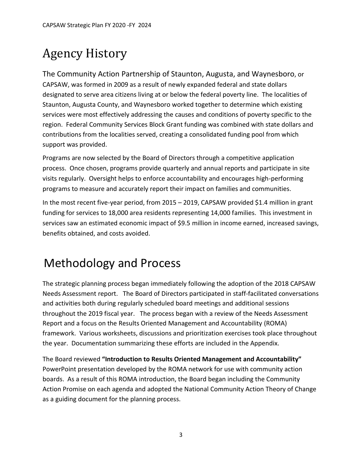# Agency History

The Community Action Partnership of Staunton, Augusta, and Waynesboro, or CAPSAW, was formed in 2009 as a result of newly expanded federal and state dollars designated to serve area citizens living at or below the federal poverty line. The localities of Staunton, Augusta County, and Waynesboro worked together to determine which existing services were most effectively addressing the causes and conditions of poverty specific to the region. Federal Community Services Block Grant funding was combined with state dollars and contributions from the localities served, creating a consolidated funding pool from which support was provided.

Programs are now selected by the Board of Directors through a competitive application process. Once chosen, programs provide quarterly and annual reports and participate in site visits regularly. Oversight helps to enforce accountability and encourages high-performing programs to measure and accurately report their impact on families and communities.

In the most recent five-year period, from 2015 – 2019, CAPSAW provided \$1.4 million in grant funding for services to 18,000 area residents representing 14,000 families. This investment in services saw an estimated economic impact of \$9.5 million in income earned, increased savings, benefits obtained, and costs avoided.

# Methodology and Process

The strategic planning process began immediately following the adoption of the 2018 CAPSAW Needs Assessment report. The Board of Directors participated in staff-facilitated conversations and activities both during regularly scheduled board meetings and additional sessions throughout the 2019 fiscal year. The process began with a review of the Needs Assessment Report and a focus on the Results Oriented Management and Accountability (ROMA) framework. Various worksheets, discussions and prioritization exercises took place throughout the year. Documentation summarizing these efforts are included in the Appendix.

The Board reviewed **"Introduction to Results Oriented Management and Accountability"** PowerPoint presentation developed by the ROMA network for use with community action boards. As a result of this ROMA introduction, the Board began including the Community Action Promise on each agenda and adopted the National Community Action Theory of Change as a guiding document for the planning process.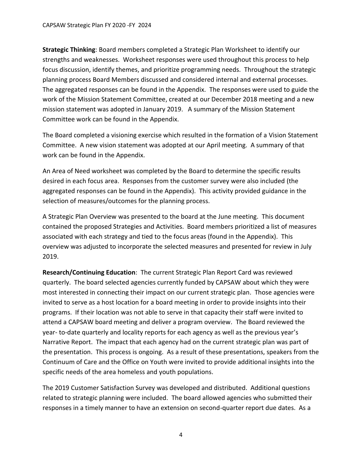CAPSAW Strategic Plan FY 2020 -FY 2024

**Strategic Thinking**: Board members completed a Strategic Plan Worksheet to identify our strengths and weaknesses. Worksheet responses were used throughout this process to help focus discussion, identify themes, and prioritize programming needs. Throughout the strategic planning process Board Members discussed and considered internal and external processes. The aggregated responses can be found in the Appendix. The responses were used to guide the work of the Mission Statement Committee, created at our December 2018 meeting and a new mission statement was adopted in January 2019. A summary of the Mission Statement Committee work can be found in the Appendix.

The Board completed a visioning exercise which resulted in the formation of a Vision Statement Committee. A new vision statement was adopted at our April meeting. A summary of that work can be found in the Appendix.

An Area of Need worksheet was completed by the Board to determine the specific results desired in each focus area. Responses from the customer survey were also included (the aggregated responses can be found in the Appendix). This activity provided guidance in the selection of measures/outcomes for the planning process.

A Strategic Plan Overview was presented to the board at the June meeting. This document contained the proposed Strategies and Activities. Board members prioritized a list of measures associated with each strategy and tied to the focus areas (found in the Appendix). This overview was adjusted to incorporate the selected measures and presented for review in July 2019.

**Research/Continuing Education**: The current Strategic Plan Report Card was reviewed quarterly. The board selected agencies currently funded by CAPSAW about which they were most interested in connecting their impact on our current strategic plan. Those agencies were invited to serve as a host location for a board meeting in order to provide insights into their programs. If their location was not able to serve in that capacity their staff were invited to attend a CAPSAW board meeting and deliver a program overview. The Board reviewed the year- to-date quarterly and locality reports for each agency as well as the previous year's Narrative Report. The impact that each agency had on the current strategic plan was part of the presentation. This process is ongoing. As a result of these presentations, speakers from the Continuum of Care and the Office on Youth were invited to provide additional insights into the specific needs of the area homeless and youth populations.

The 2019 Customer Satisfaction Survey was developed and distributed. Additional questions related to strategic planning were included. The board allowed agencies who submitted their responses in a timely manner to have an extension on second-quarter report due dates. As a

4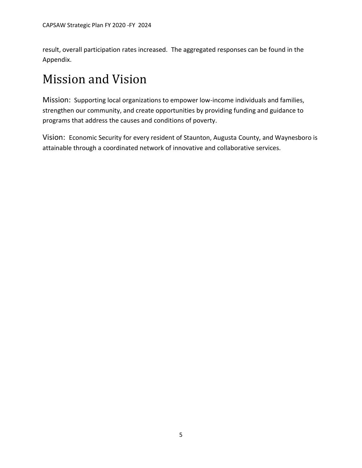result, overall participation rates increased. The aggregated responses can be found in the Appendix.

# Mission and Vision

Mission: Supporting local organizations to empower low-income individuals and families, strengthen our community, and create opportunities by providing funding and guidance to programs that address the causes and conditions of poverty.

Vision: Economic Security for every resident of Staunton, Augusta County, and Waynesboro is attainable through a coordinated network of innovative and collaborative services.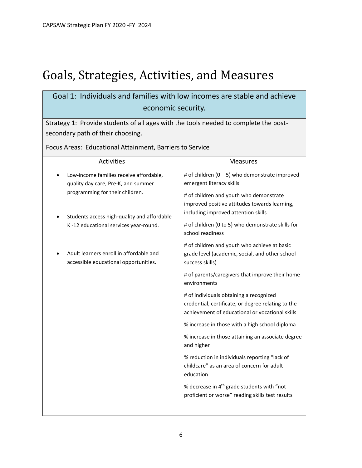# Goals, Strategies, Activities, and Measures

### Goal 1: Individuals and families with low incomes are stable and achieve economic security.

Strategy 1: Provide students of all ages with the tools needed to complete the postsecondary path of their choosing.

Focus Areas: Educational Attainment, Barriers to Service

| <b>Activities</b>                                                                | <b>Measures</b>                                                                                                                                  |
|----------------------------------------------------------------------------------|--------------------------------------------------------------------------------------------------------------------------------------------------|
| Low-income families receive affordable,<br>quality day care, Pre-K, and summer   | # of children $(0 - 5)$ who demonstrate improved<br>emergent literacy skills                                                                     |
| programming for their children.<br>Students access high-quality and affordable   | # of children and youth who demonstrate<br>improved positive attitudes towards learning,<br>including improved attention skills                  |
| K-12 educational services year-round.                                            | # of children (0 to 5) who demonstrate skills for<br>school readiness                                                                            |
| Adult learners enroll in affordable and<br>accessible educational opportunities. | # of children and youth who achieve at basic<br>grade level (academic, social, and other school<br>success skills)                               |
|                                                                                  | # of parents/caregivers that improve their home<br>environments                                                                                  |
|                                                                                  | # of individuals obtaining a recognized<br>credential, certificate, or degree relating to the<br>achievement of educational or vocational skills |
|                                                                                  | % increase in those with a high school diploma                                                                                                   |
|                                                                                  | % increase in those attaining an associate degree<br>and higher                                                                                  |
|                                                                                  | % reduction in individuals reporting "lack of<br>childcare" as an area of concern for adult<br>education                                         |
|                                                                                  | % decrease in 4 <sup>th</sup> grade students with "not<br>proficient or worse" reading skills test results                                       |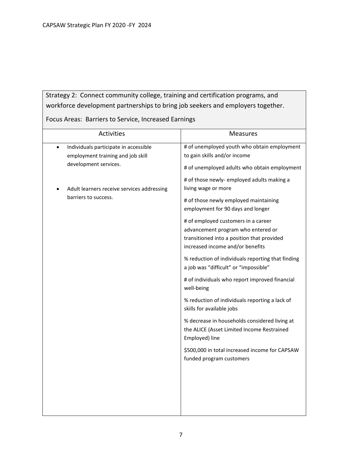### Strategy 2: Connect community college, training and certification programs, and workforce development partnerships to bring job seekers and employers together.

Focus Areas: Barriers to Service, Increased Earnings

| Activities                                                                                                       | Measures                                                                                                                                                     |
|------------------------------------------------------------------------------------------------------------------|--------------------------------------------------------------------------------------------------------------------------------------------------------------|
| Individuals participate in accessible<br>$\bullet$<br>employment training and job skill<br>development services. | # of unemployed youth who obtain employment<br>to gain skills and/or income<br># of unemployed adults who obtain employment                                  |
| Adult learners receive services addressing<br>barriers to success.                                               | # of those newly- employed adults making a<br>living wage or more<br># of those newly employed maintaining                                                   |
|                                                                                                                  | employment for 90 days and longer<br># of employed customers in a career<br>advancement program who entered or<br>transitioned into a position that provided |
|                                                                                                                  | increased income and/or benefits<br>% reduction of individuals reporting that finding<br>a job was "difficult" or "impossible"                               |
|                                                                                                                  | # of individuals who report improved financial<br>well-being                                                                                                 |
|                                                                                                                  | % reduction of individuals reporting a lack of<br>skills for available jobs                                                                                  |
|                                                                                                                  | % decrease in households considered living at<br>the ALICE (Asset Limited Income Restrained<br>Employed) line                                                |
|                                                                                                                  | \$500,000 in total increased income for CAPSAW<br>funded program customers                                                                                   |
|                                                                                                                  |                                                                                                                                                              |
|                                                                                                                  |                                                                                                                                                              |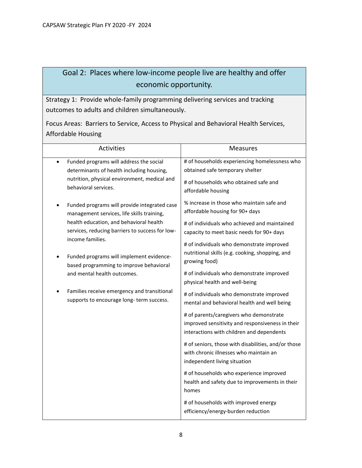### Goal 2: Places where low-income people live are healthy and offer economic opportunity.

Strategy 1: Provide whole-family programming delivering services and tracking outcomes to adults and children simultaneously.

Focus Areas: Barriers to Service, Access to Physical and Behavioral Health Services, Affordable Housing

| <b>Activities</b>                                                                                                                                                                                                                                                                                                                                                                                                             | <b>Measures</b>                                                                                                                                                                                                                                                                                                                                                                                                                                                                                                                                                                                                                                                                                                                                                                                                                                                                                                                        |
|-------------------------------------------------------------------------------------------------------------------------------------------------------------------------------------------------------------------------------------------------------------------------------------------------------------------------------------------------------------------------------------------------------------------------------|----------------------------------------------------------------------------------------------------------------------------------------------------------------------------------------------------------------------------------------------------------------------------------------------------------------------------------------------------------------------------------------------------------------------------------------------------------------------------------------------------------------------------------------------------------------------------------------------------------------------------------------------------------------------------------------------------------------------------------------------------------------------------------------------------------------------------------------------------------------------------------------------------------------------------------------|
| Funded programs will address the social<br>$\bullet$<br>determinants of health including housing,<br>nutrition, physical environment, medical and<br>behavioral services.                                                                                                                                                                                                                                                     | # of households experiencing homelessness who<br>obtained safe temporary shelter<br># of households who obtained safe and<br>affordable housing                                                                                                                                                                                                                                                                                                                                                                                                                                                                                                                                                                                                                                                                                                                                                                                        |
| Funded programs will provide integrated case<br>management services, life skills training,<br>health education, and behavioral health<br>services, reducing barriers to success for low-<br>income families.<br>Funded programs will implement evidence-<br>based programming to improve behavioral<br>and mental health outcomes.<br>Families receive emergency and transitional<br>supports to encourage long-term success. | % increase in those who maintain safe and<br>affordable housing for 90+ days<br># of individuals who achieved and maintained<br>capacity to meet basic needs for 90+ days<br># of individuals who demonstrate improved<br>nutritional skills (e.g. cooking, shopping, and<br>growing food)<br># of individuals who demonstrate improved<br>physical health and well-being<br># of individuals who demonstrate improved<br>mental and behavioral health and well being<br># of parents/caregivers who demonstrate<br>improved sensitivity and responsiveness in their<br>interactions with children and dependents<br># of seniors, those with disabilities, and/or those<br>with chronic illnesses who maintain an<br>independent living situation<br># of households who experience improved<br>health and safety due to improvements in their<br>homes<br># of households with improved energy<br>efficiency/energy-burden reduction |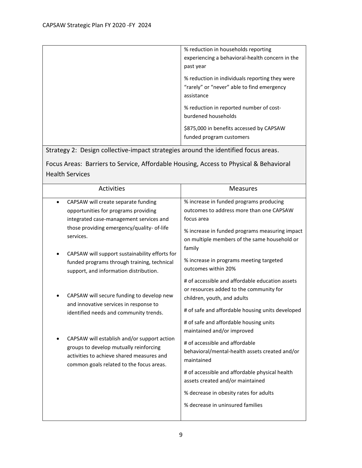| % reduction in households reporting                                                                        |
|------------------------------------------------------------------------------------------------------------|
| experiencing a behavioral-health concern in the                                                            |
| past year                                                                                                  |
| % reduction in individuals reporting they were<br>"rarely" or "never" able to find emergency<br>assistance |
| % reduction in reported number of cost-<br>burdened households                                             |
| \$875,000 in benefits accessed by CAPSAW<br>funded program customers                                       |

Strategy 2: Design collective-impact strategies around the identified focus areas.

|                        | Focus Areas: Barriers to Service, Affordable Housing, Access to Physical & Behavioral |
|------------------------|---------------------------------------------------------------------------------------|
| <b>Health Services</b> |                                                                                       |

| Activities                                                                                                                                                                     | <b>Measures</b>                                                                                                                                                                                                                                              |
|--------------------------------------------------------------------------------------------------------------------------------------------------------------------------------|--------------------------------------------------------------------------------------------------------------------------------------------------------------------------------------------------------------------------------------------------------------|
| CAPSAW will create separate funding<br>opportunities for programs providing<br>integrated case-management services and                                                         | % increase in funded programs producing<br>outcomes to address more than one CAPSAW<br>focus area                                                                                                                                                            |
| those providing emergency/quality- of-life<br>services.                                                                                                                        | % increase in funded programs measuring impact<br>on multiple members of the same household or<br>family                                                                                                                                                     |
| CAPSAW will support sustainability efforts for<br>funded programs through training, technical<br>support, and information distribution.                                        | % increase in programs meeting targeted<br>outcomes within 20%                                                                                                                                                                                               |
| CAPSAW will secure funding to develop new<br>and innovative services in response to<br>identified needs and community trends.                                                  | # of accessible and affordable education assets<br>or resources added to the community for<br>children, youth, and adults<br># of safe and affordable housing units developed<br># of safe and affordable housing units                                      |
| CAPSAW will establish and/or support action<br>groups to develop mutually reinforcing<br>activities to achieve shared measures and<br>common goals related to the focus areas. | maintained and/or improved<br># of accessible and affordable<br>behavioral/mental-health assets created and/or<br>maintained<br># of accessible and affordable physical health<br>assets created and/or maintained<br>% decrease in obesity rates for adults |
|                                                                                                                                                                                | % decrease in uninsured families                                                                                                                                                                                                                             |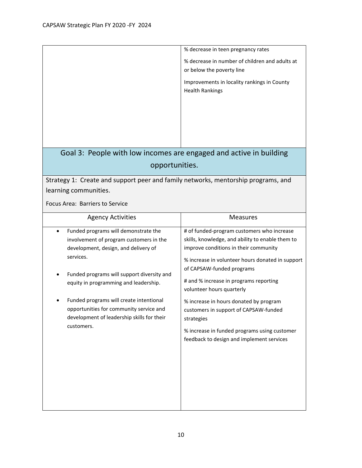|                                                                                                                                                                                                                                                                                                                                                                               | % decrease in teen pregnancy rates<br>% decrease in number of children and adults at<br>or below the poverty line<br>Improvements in locality rankings in County<br><b>Health Rankings</b>                                                                                                                                                                                                                                                                                                    |  |
|-------------------------------------------------------------------------------------------------------------------------------------------------------------------------------------------------------------------------------------------------------------------------------------------------------------------------------------------------------------------------------|-----------------------------------------------------------------------------------------------------------------------------------------------------------------------------------------------------------------------------------------------------------------------------------------------------------------------------------------------------------------------------------------------------------------------------------------------------------------------------------------------|--|
| Goal 3: People with low incomes are engaged and active in building<br>opportunities.                                                                                                                                                                                                                                                                                          |                                                                                                                                                                                                                                                                                                                                                                                                                                                                                               |  |
| Strategy 1: Create and support peer and family networks, mentorship programs, and<br>learning communities.<br>Focus Area: Barriers to Service                                                                                                                                                                                                                                 |                                                                                                                                                                                                                                                                                                                                                                                                                                                                                               |  |
| <b>Agency Activities</b>                                                                                                                                                                                                                                                                                                                                                      | <b>Measures</b>                                                                                                                                                                                                                                                                                                                                                                                                                                                                               |  |
| Funded programs will demonstrate the<br>involvement of program customers in the<br>development, design, and delivery of<br>services.<br>Funded programs will support diversity and<br>equity in programming and leadership.<br>Funded programs will create intentional<br>opportunities for community service and<br>development of leadership skills for their<br>customers. | # of funded-program customers who increase<br>skills, knowledge, and ability to enable them to<br>improve conditions in their community<br>% increase in volunteer hours donated in support<br>of CAPSAW-funded programs<br># and % increase in programs reporting<br>volunteer hours quarterly<br>% increase in hours donated by program<br>customers in support of CAPSAW-funded<br>strategies<br>% increase in funded programs using customer<br>feedback to design and implement services |  |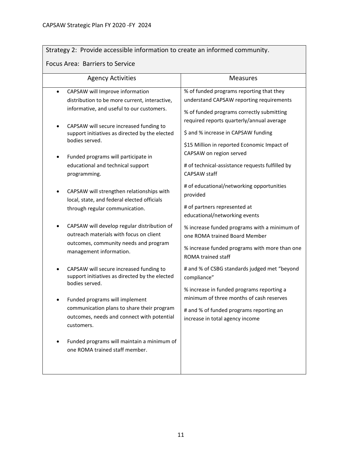### Strategy 2: Provide accessible information to create an informed community.

#### Focus Area: Barriers to Service

| <b>Agency Activities</b>                                                                                                                                                                                                                                                                                                                                                                                                                                               | Measures                                                                                                                                                                                                                                                                                                                                                                                                                                                    |
|------------------------------------------------------------------------------------------------------------------------------------------------------------------------------------------------------------------------------------------------------------------------------------------------------------------------------------------------------------------------------------------------------------------------------------------------------------------------|-------------------------------------------------------------------------------------------------------------------------------------------------------------------------------------------------------------------------------------------------------------------------------------------------------------------------------------------------------------------------------------------------------------------------------------------------------------|
| CAPSAW will Improve information<br>distribution to be more current, interactive,<br>informative, and useful to our customers.<br>CAPSAW will secure increased funding to<br>support initiatives as directed by the elected<br>bodies served.<br>Funded programs will participate in<br>educational and technical support<br>programming.<br>CAPSAW will strengthen relationships with<br>local, state, and federal elected officials<br>through regular communication. | % of funded programs reporting that they<br>understand CAPSAW reporting requirements<br>% of funded programs correctly submitting<br>required reports quarterly/annual average<br>\$ and % increase in CAPSAW funding<br>\$15 Million in reported Economic Impact of<br>CAPSAW on region served<br># of technical-assistance requests fulfilled by<br>CAPSAW staff<br># of educational/networking opportunities<br>provided<br># of partners represented at |
| CAPSAW will develop regular distribution of<br>outreach materials with focus on client<br>outcomes, community needs and program<br>management information.                                                                                                                                                                                                                                                                                                             | educational/networking events<br>% increase funded programs with a minimum of<br>one ROMA trained Board Member<br>% increase funded programs with more than one<br>ROMA trained staff                                                                                                                                                                                                                                                                       |
| CAPSAW will secure increased funding to<br>support initiatives as directed by the elected<br>bodies served.<br>Funded programs will implement<br>communication plans to share their program<br>outcomes, needs and connect with potential<br>customers.                                                                                                                                                                                                                | # and % of CSBG standards judged met "beyond<br>compliance"<br>% increase in funded programs reporting a<br>minimum of three months of cash reserves<br># and % of funded programs reporting an<br>increase in total agency income                                                                                                                                                                                                                          |
| Funded programs will maintain a minimum of<br>one ROMA trained staff member.                                                                                                                                                                                                                                                                                                                                                                                           |                                                                                                                                                                                                                                                                                                                                                                                                                                                             |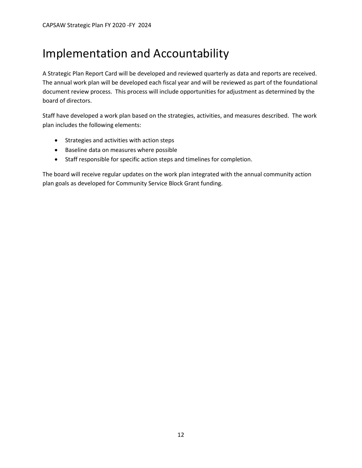# Implementation and Accountability

A Strategic Plan Report Card will be developed and reviewed quarterly as data and reports are received. The annual work plan will be developed each fiscal year and will be reviewed as part of the foundational document review process. This process will include opportunities for adjustment as determined by the board of directors.

Staff have developed a work plan based on the strategies, activities, and measures described. The work plan includes the following elements:

- Strategies and activities with action steps
- Baseline data on measures where possible
- Staff responsible for specific action steps and timelines for completion.

The board will receive regular updates on the work plan integrated with the annual community action plan goals as developed for Community Service Block Grant funding.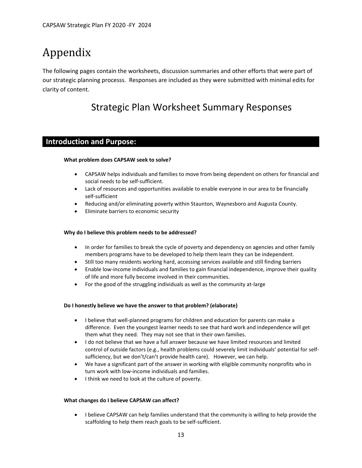# Appendix

The following pages contain the worksheets, discussion summaries and other efforts that were part of our strategic planning processs. Responses are included as they were submitted with minimal edits for clarity of content.

### Strategic Plan Worksheet Summary Responses

#### **Introduction and Purpose:**

#### **What problem does CAPSAW seek to solve?**

- CAPSAW helps individuals and families to move from being dependent on others for financial and social needs to be self-sufficient.
- Lack of resources and opportunities available to enable everyone in our area to be financially self-sufficient
- Reducing and/or eliminating poverty within Staunton, Waynesboro and Augusta County.
- Eliminate barriers to economic security

#### **Why do I believe this problem needs to be addressed?**

- In order for families to break the cycle of poverty and dependency on agencies and other family members programs have to be developed to help them learn they can be independent.
- Still too many residents working hard, accessing services available and still finding barriers
- Enable low-income individuals and families to gain financial independence, improve their quality of life and more fully become involved in their communities.
- For the good of the struggling individuals as well as the community at-large

#### **Do I honestly believe we have the answer to that problem? (elaborate)**

- I believe that well-planned programs for children and education for parents can make a difference. Even the youngest learner needs to see that hard work and independence will get them what they need. They may not see that in their own families.
- I do not believe that we have a full answer because we have limited resources and limited control of outside factors (e.g., health problems could severely limit individuals' potential for selfsufficiency, but we don't/can't provide health care). However, we can help.
- We have a significant part of the answer in working with eligible community nonprofits who in turn work with low-income individuals and families.
- I think we need to look at the culture of poverty.

#### **What changes do I believe CAPSAW can affect?**

• I believe CAPSAW can help families understand that the community is willing to help provide the scaffolding to help them reach goals to be self-sufficient.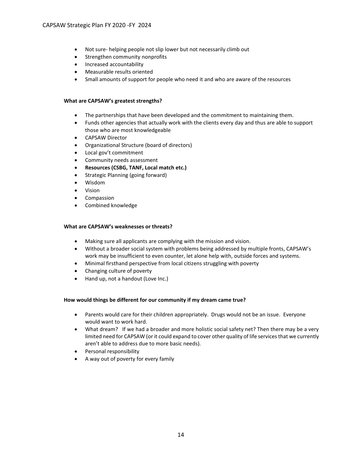- Not sure- helping people not slip lower but not necessarily climb out
- Strengthen community nonprofits
- Increased accountability
- Measurable results oriented
- Small amounts of support for people who need it and who are aware of the resources

#### **What are CAPSAW's greatest strengths?**

- The partnerships that have been developed and the commitment to maintaining them.
- Funds other agencies that actually work with the clients every day and thus are able to support those who are most knowledgeable
- CAPSAW Director
- Organizational Structure (board of directors)
- Local gov't commitment
- Community needs assessment
- **Resources (CSBG, TANF, Local match etc.)**
- Strategic Planning (going forward)
- Wisdom
- Vision
- Compassion
- Combined knowledge

#### **What are CAPSAW's weaknesses or threats?**

- Making sure all applicants are complying with the mission and vision.
- Without a broader social system with problems being addressed by multiple fronts, CAPSAW's work may be insufficient to even counter, let alone help with, outside forces and systems.
- Minimal firsthand perspective from local citizens struggling with poverty
- Changing culture of poverty
- Hand up, not a handout (Love Inc.)

#### **How would things be different for our community if my dream came true?**

- Parents would care for their children appropriately. Drugs would not be an issue. Everyone would want to work hard.
- What dream? If we had a broader and more holistic social safety net? Then there may be a very limited need for CAPSAW (or it could expand to cover other quality of life services that we currently aren't able to address due to more basic needs).
- Personal responsibility
- A way out of poverty for every family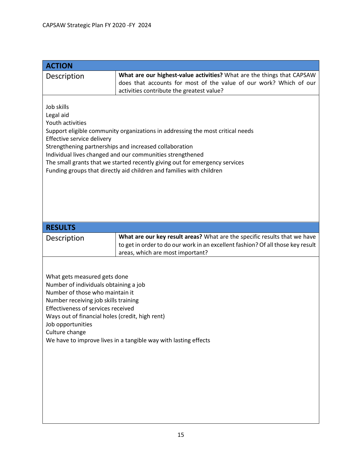| <b>ACTION</b>                                                                                                                                                                                                                                                                                                                                                                                                                             |                                                                                                                                                                                                  |  |
|-------------------------------------------------------------------------------------------------------------------------------------------------------------------------------------------------------------------------------------------------------------------------------------------------------------------------------------------------------------------------------------------------------------------------------------------|--------------------------------------------------------------------------------------------------------------------------------------------------------------------------------------------------|--|
| Description                                                                                                                                                                                                                                                                                                                                                                                                                               | What are our highest-value activities? What are the things that CAPSAW<br>does that accounts for most of the value of our work? Which of our<br>activities contribute the greatest value?        |  |
| Job skills<br>Legal aid<br>Youth activities<br>Support eligible community organizations in addressing the most critical needs<br>Effective service delivery<br>Strengthening partnerships and increased collaboration<br>Individual lives changed and our communities strengthened<br>The small grants that we started recently giving out for emergency services<br>Funding groups that directly aid children and families with children |                                                                                                                                                                                                  |  |
| <b>RESULTS</b>                                                                                                                                                                                                                                                                                                                                                                                                                            |                                                                                                                                                                                                  |  |
| Description                                                                                                                                                                                                                                                                                                                                                                                                                               | What are our key result areas? What are the specific results that we have<br>to get in order to do our work in an excellent fashion? Of all those key result<br>areas, which are most important? |  |
| What gets measured gets done<br>Number of individuals obtaining a job<br>Number of those who maintain it<br>Number receiving job skills training<br>Effectiveness of services received<br>Ways out of financial holes (credit, high rent)<br>Job opportunities<br>Culture change<br>We have to improve lives in a tangible way with lasting effects                                                                                       |                                                                                                                                                                                                  |  |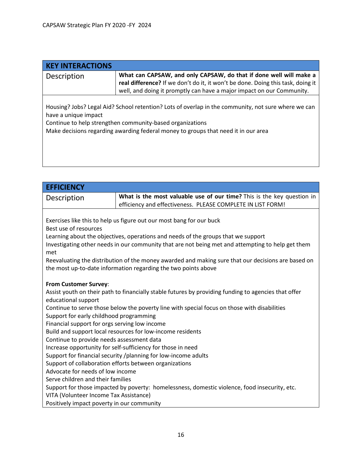| <b>KEY INTERACTIONS</b> |                                                                                                                                                                                                                                                        |
|-------------------------|--------------------------------------------------------------------------------------------------------------------------------------------------------------------------------------------------------------------------------------------------------|
| Description             | What can CAPSAW, and only CAPSAW, do that if done well will make a<br>real difference? If we don't do it, it won't be done. Doing this task, doing it<br>well, and doing it promptly can have a major impact on our Community.                         |
| have a unique impact    | Housing? Jobs? Legal Aid? School retention? Lots of overlap in the community, not sure where we can<br>Continue to help strengthen community-based organizations<br>Make decisions regarding awarding federal money to groups that need it in our area |

| <b>EFFICIENCY</b>                                                                                                                       |                                                                                                      |  |
|-----------------------------------------------------------------------------------------------------------------------------------------|------------------------------------------------------------------------------------------------------|--|
| Description                                                                                                                             | What is the most valuable use of our time? This is the key question in                               |  |
|                                                                                                                                         | efficiency and effectiveness. PLEASE COMPLETE IN LIST FORM!                                          |  |
|                                                                                                                                         |                                                                                                      |  |
|                                                                                                                                         | Exercises like this to help us figure out our most bang for our buck                                 |  |
| Best use of resources                                                                                                                   |                                                                                                      |  |
|                                                                                                                                         | Learning about the objectives, operations and needs of the groups that we support                    |  |
| met                                                                                                                                     | Investigating other needs in our community that are not being met and attempting to help get them    |  |
|                                                                                                                                         | Reevaluating the distribution of the money awarded and making sure that our decisions are based on   |  |
|                                                                                                                                         | the most up-to-date information regarding the two points above                                       |  |
|                                                                                                                                         |                                                                                                      |  |
| From Customer Survey:                                                                                                                   |                                                                                                      |  |
|                                                                                                                                         | Assist youth on their path to financially stable futures by providing funding to agencies that offer |  |
| educational support                                                                                                                     |                                                                                                      |  |
| Continue to serve those below the poverty line with special focus on those with disabilities<br>Support for early childhood programming |                                                                                                      |  |
|                                                                                                                                         |                                                                                                      |  |
| Financial support for orgs serving low income                                                                                           |                                                                                                      |  |
| Build and support local resources for low-income residents<br>Continue to provide needs assessment data                                 |                                                                                                      |  |
| Increase opportunity for self-sufficiency for those in need                                                                             |                                                                                                      |  |
| Support for financial security /planning for low-income adults                                                                          |                                                                                                      |  |
| Support of collaboration efforts between organizations                                                                                  |                                                                                                      |  |
| Advocate for needs of low income                                                                                                        |                                                                                                      |  |
| Serve children and their families                                                                                                       |                                                                                                      |  |
| Support for those impacted by poverty: homelessness, domestic violence, food insecurity, etc.                                           |                                                                                                      |  |
| VITA (Volunteer Income Tax Assistance)                                                                                                  |                                                                                                      |  |
| Positively impact poverty in our community                                                                                              |                                                                                                      |  |
|                                                                                                                                         |                                                                                                      |  |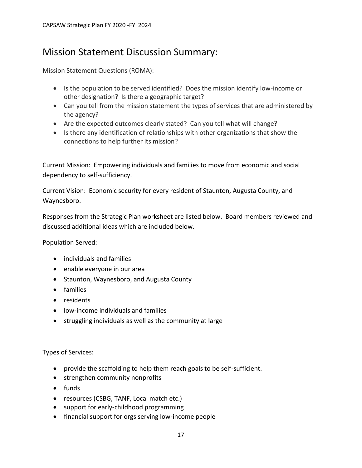### Mission Statement Discussion Summary:

Mission Statement Questions (ROMA):

- Is the population to be served identified? Does the mission identify low-income or other designation? Is there a geographic target?
- Can you tell from the mission statement the types of services that are administered by the agency?
- Are the expected outcomes clearly stated? Can you tell what will change?
- Is there any identification of relationships with other organizations that show the connections to help further its mission?

Current Mission: Empowering individuals and families to move from economic and social dependency to self-sufficiency.

Current Vision: Economic security for every resident of Staunton, Augusta County, and Waynesboro.

Responses from the Strategic Plan worksheet are listed below. Board members reviewed and discussed additional ideas which are included below.

Population Served:

- individuals and families
- enable everyone in our area
- Staunton, Waynesboro, and Augusta County
- families
- residents
- low-income individuals and families
- struggling individuals as well as the community at large

Types of Services:

- provide the scaffolding to help them reach goals to be self-sufficient.
- strengthen community nonprofits
- funds
- resources (CSBG, TANF, Local match etc.)
- support for early-childhood programming
- financial support for orgs serving low-income people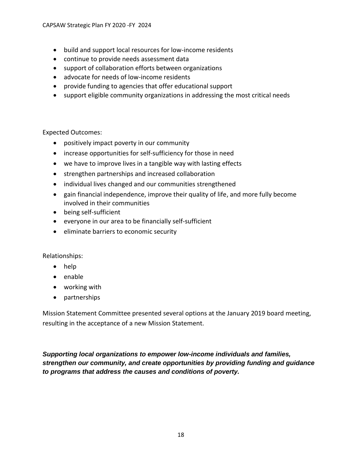- build and support local resources for low-income residents
- continue to provide needs assessment data
- support of collaboration efforts between organizations
- advocate for needs of low-income residents
- provide funding to agencies that offer educational support
- support eligible community organizations in addressing the most critical needs

Expected Outcomes:

- positively impact poverty in our community
- increase opportunities for self-sufficiency for those in need
- we have to improve lives in a tangible way with lasting effects
- strengthen partnerships and increased collaboration
- individual lives changed and our communities strengthened
- gain financial independence, improve their quality of life, and more fully become involved in their communities
- being self-sufficient
- everyone in our area to be financially self-sufficient
- eliminate barriers to economic security

Relationships:

- help
- enable
- working with
- partnerships

Mission Statement Committee presented several options at the January 2019 board meeting, resulting in the acceptance of a new Mission Statement.

*Supporting local organizations to empower low-income individuals and families, strengthen our community, and create opportunities by providing funding and guidance to programs that address the causes and conditions of poverty.*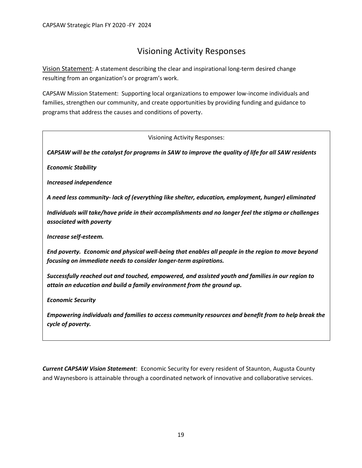### Visioning Activity Responses

Vision Statement: A statement describing the clear and inspirational long-term desired change resulting from an organization's or program's work.

CAPSAW Mission Statement: Supporting local organizations to empower low-income individuals and families, strengthen our community, and create opportunities by providing funding and guidance to programs that address the causes and conditions of poverty.

Visioning Activity Responses:

*CAPSAW will be the catalyst for programs in SAW to improve the quality of life for all SAW residents*

*Economic Stability*

*Increased independence*

*A need less community- lack of (everything like shelter, education, employment, hunger) eliminated*

*Individuals will take/have pride in their accomplishments and no longer feel the stigma or challenges associated with poverty* 

*Increase self-esteem.*

*End poverty. Economic and physical well-being that enables all people in the region to move beyond focusing on immediate needs to consider longer-term aspirations.*

*Successfully reached out and touched, empowered, and assisted youth and families in our region to attain an education and build a family environment from the ground up.*

*Economic Security*

*Empowering individuals and families to access community resources and benefit from to help break the cycle of poverty.*

*Current CAPSAW Vision Statement*: Economic Security for every resident of Staunton, Augusta County and Waynesboro is attainable through a coordinated network of innovative and collaborative services.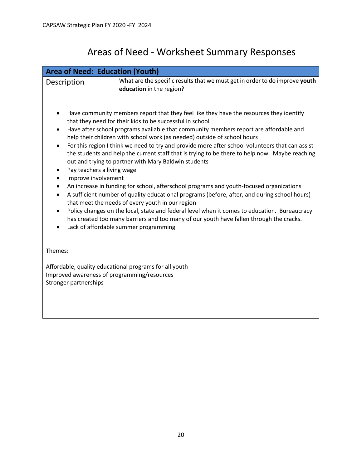# Areas of Need - Worksheet Summary Responses

| <b>Area of Need: Education (Youth)</b>                                                                                                                                                                                                                                                                                                                                                                                                                                                                                                                                                                                                                                                                                                                                                                                                                                                                                                                                                                                                                                                                                                                                                 |                                                                                                         |
|----------------------------------------------------------------------------------------------------------------------------------------------------------------------------------------------------------------------------------------------------------------------------------------------------------------------------------------------------------------------------------------------------------------------------------------------------------------------------------------------------------------------------------------------------------------------------------------------------------------------------------------------------------------------------------------------------------------------------------------------------------------------------------------------------------------------------------------------------------------------------------------------------------------------------------------------------------------------------------------------------------------------------------------------------------------------------------------------------------------------------------------------------------------------------------------|---------------------------------------------------------------------------------------------------------|
| Description                                                                                                                                                                                                                                                                                                                                                                                                                                                                                                                                                                                                                                                                                                                                                                                                                                                                                                                                                                                                                                                                                                                                                                            | What are the specific results that we must get in order to do improve youth<br>education in the region? |
| Have community members report that they feel like they have the resources they identify<br>that they need for their kids to be successful in school<br>Have after school programs available that community members report are affordable and<br>help their children with school work (as needed) outside of school hours<br>For this region I think we need to try and provide more after school volunteers that can assist<br>$\bullet$<br>the students and help the current staff that is trying to be there to help now. Maybe reaching<br>out and trying to partner with Mary Baldwin students<br>Pay teachers a living wage<br>٠<br>Improve involvement<br>An increase in funding for school, afterschool programs and youth-focused organizations<br>$\bullet$<br>A sufficient number of quality educational programs (before, after, and during school hours)<br>$\bullet$<br>that meet the needs of every youth in our region<br>Policy changes on the local, state and federal level when it comes to education. Bureaucracy<br>has created too many barriers and too many of our youth have fallen through the cracks.<br>Lack of affordable summer programming<br>$\bullet$ |                                                                                                         |
| Themes:<br>Affordable, quality educational programs for all youth<br>Improved awareness of programming/resources<br>Stronger partnerships                                                                                                                                                                                                                                                                                                                                                                                                                                                                                                                                                                                                                                                                                                                                                                                                                                                                                                                                                                                                                                              |                                                                                                         |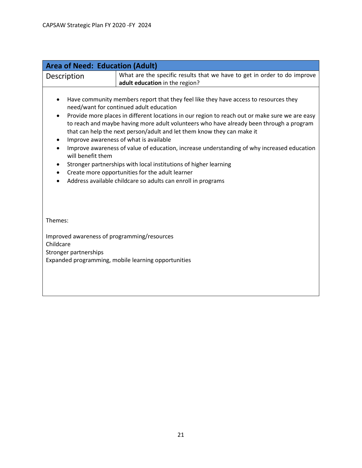| <b>Area of Need: Education (Adult)</b>                                                                                                                                                                                                                                                                                                                                                                                                                                                                                                                                                                                                                                                                                                                                                    |                                                                                                            |
|-------------------------------------------------------------------------------------------------------------------------------------------------------------------------------------------------------------------------------------------------------------------------------------------------------------------------------------------------------------------------------------------------------------------------------------------------------------------------------------------------------------------------------------------------------------------------------------------------------------------------------------------------------------------------------------------------------------------------------------------------------------------------------------------|------------------------------------------------------------------------------------------------------------|
| Description                                                                                                                                                                                                                                                                                                                                                                                                                                                                                                                                                                                                                                                                                                                                                                               | What are the specific results that we have to get in order to do improve<br>adult education in the region? |
| Have community members report that they feel like they have access to resources they<br>need/want for continued adult education<br>Provide more places in different locations in our region to reach out or make sure we are easy<br>$\bullet$<br>to reach and maybe having more adult volunteers who have already been through a program<br>that can help the next person/adult and let them know they can make it<br>Improve awareness of what is available<br>٠<br>Improve awareness of value of education, increase understanding of why increased education<br>$\bullet$<br>will benefit them<br>Stronger partnerships with local institutions of higher learning<br>Create more opportunities for the adult learner<br>Address available childcare so adults can enroll in programs |                                                                                                            |
| Themes:                                                                                                                                                                                                                                                                                                                                                                                                                                                                                                                                                                                                                                                                                                                                                                                   |                                                                                                            |
| Improved awareness of programming/resources<br>Childcare<br>Stronger partnerships<br>Expanded programming, mobile learning opportunities                                                                                                                                                                                                                                                                                                                                                                                                                                                                                                                                                                                                                                                  |                                                                                                            |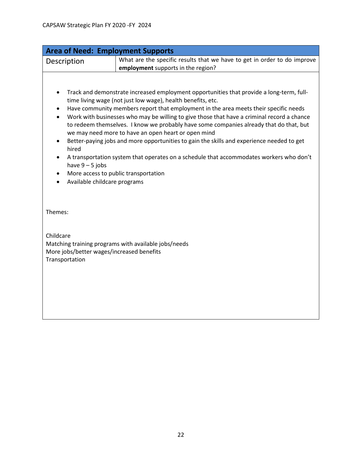| <b>Area of Need: Employment Supports</b>                                            |                                                                                                                                                                                                                                                                                                                                                                                                                                                                                                                                                                                                                                                                                                                                |
|-------------------------------------------------------------------------------------|--------------------------------------------------------------------------------------------------------------------------------------------------------------------------------------------------------------------------------------------------------------------------------------------------------------------------------------------------------------------------------------------------------------------------------------------------------------------------------------------------------------------------------------------------------------------------------------------------------------------------------------------------------------------------------------------------------------------------------|
| Description                                                                         | What are the specific results that we have to get in order to do improve                                                                                                                                                                                                                                                                                                                                                                                                                                                                                                                                                                                                                                                       |
|                                                                                     | employment supports in the region?                                                                                                                                                                                                                                                                                                                                                                                                                                                                                                                                                                                                                                                                                             |
| ٠<br>hired<br>have $9 - 5$ jobs<br>Available childcare programs                     | Track and demonstrate increased employment opportunities that provide a long-term, full-<br>time living wage (not just low wage), health benefits, etc.<br>Have community members report that employment in the area meets their specific needs<br>Work with businesses who may be willing to give those that have a criminal record a chance<br>to redeem themselves. I know we probably have some companies already that do that, but<br>we may need more to have an open heart or open mind<br>Better-paying jobs and more opportunities to gain the skills and experience needed to get<br>A transportation system that operates on a schedule that accommodates workers who don't<br>More access to public transportation |
| Themes:<br>Childcare<br>More jobs/better wages/increased benefits<br>Transportation | Matching training programs with available jobs/needs                                                                                                                                                                                                                                                                                                                                                                                                                                                                                                                                                                                                                                                                           |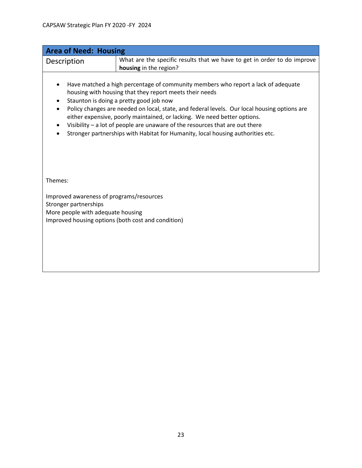| <b>Area of Need: Housing</b>                                                                                                                                                                                                                                                                                                                                                                                                                                                                                                                                                                 |                                                                          |
|----------------------------------------------------------------------------------------------------------------------------------------------------------------------------------------------------------------------------------------------------------------------------------------------------------------------------------------------------------------------------------------------------------------------------------------------------------------------------------------------------------------------------------------------------------------------------------------------|--------------------------------------------------------------------------|
| Description                                                                                                                                                                                                                                                                                                                                                                                                                                                                                                                                                                                  | What are the specific results that we have to get in order to do improve |
|                                                                                                                                                                                                                                                                                                                                                                                                                                                                                                                                                                                              | housing in the region?                                                   |
| Have matched a high percentage of community members who report a lack of adequate<br>housing with housing that they report meets their needs<br>Staunton is doing a pretty good job now<br>$\bullet$<br>Policy changes are needed on local, state, and federal levels. Our local housing options are<br>$\bullet$<br>either expensive, poorly maintained, or lacking. We need better options.<br>Visibility $-$ a lot of people are unaware of the resources that are out there<br>$\bullet$<br>Stronger partnerships with Habitat for Humanity, local housing authorities etc.<br>$\bullet$ |                                                                          |
| Themes:                                                                                                                                                                                                                                                                                                                                                                                                                                                                                                                                                                                      |                                                                          |
| Improved awareness of programs/resources<br>Stronger partnerships<br>More people with adequate housing<br>Improved housing options (both cost and condition)                                                                                                                                                                                                                                                                                                                                                                                                                                 |                                                                          |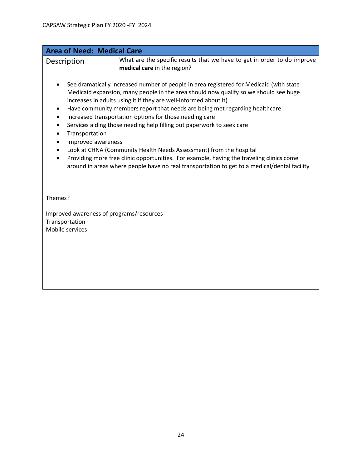| <b>Area of Need: Medical Care</b>                                                                                                                                                                                                                                                                                                                                                                                                                                                                                                                                                                                                                                                                                                                                                                                                              |                                                                                                         |
|------------------------------------------------------------------------------------------------------------------------------------------------------------------------------------------------------------------------------------------------------------------------------------------------------------------------------------------------------------------------------------------------------------------------------------------------------------------------------------------------------------------------------------------------------------------------------------------------------------------------------------------------------------------------------------------------------------------------------------------------------------------------------------------------------------------------------------------------|---------------------------------------------------------------------------------------------------------|
| Description                                                                                                                                                                                                                                                                                                                                                                                                                                                                                                                                                                                                                                                                                                                                                                                                                                    | What are the specific results that we have to get in order to do improve<br>medical care in the region? |
| See dramatically increased number of people in area registered for Medicaid (with state<br>Medicaid expansion, many people in the area should now qualify so we should see huge<br>increases in adults using it if they are well-informed about it)<br>Have community members report that needs are being met regarding healthcare<br>٠<br>Increased transportation options for those needing care<br>$\bullet$<br>Services aiding those needing help filling out paperwork to seek care<br>٠<br>Transportation<br>$\bullet$<br>Improved awareness<br>$\bullet$<br>Look at CHNA (Community Health Needs Assessment) from the hospital<br>$\bullet$<br>Providing more free clinic opportunities. For example, having the traveling clinics come<br>around in areas where people have no real transportation to get to a medical/dental facility |                                                                                                         |
| Themes?                                                                                                                                                                                                                                                                                                                                                                                                                                                                                                                                                                                                                                                                                                                                                                                                                                        |                                                                                                         |
| Improved awareness of programs/resources<br>Transportation<br>Mobile services                                                                                                                                                                                                                                                                                                                                                                                                                                                                                                                                                                                                                                                                                                                                                                  |                                                                                                         |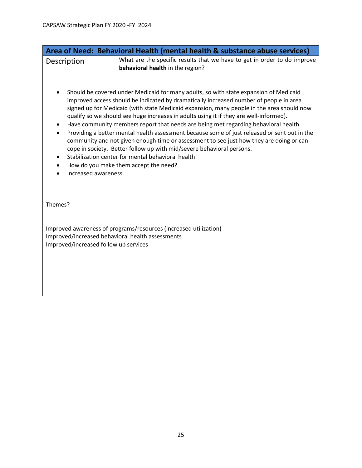| Area of Need: Behavioral Health (mental health & substance abuse services)                                                                                                                                                                                                                                                                                                                                                            |                                                                                       |
|---------------------------------------------------------------------------------------------------------------------------------------------------------------------------------------------------------------------------------------------------------------------------------------------------------------------------------------------------------------------------------------------------------------------------------------|---------------------------------------------------------------------------------------|
| Description                                                                                                                                                                                                                                                                                                                                                                                                                           | What are the specific results that we have to get in order to do improve              |
|                                                                                                                                                                                                                                                                                                                                                                                                                                       | behavioral health in the region?                                                      |
|                                                                                                                                                                                                                                                                                                                                                                                                                                       | Should be covered under Medicaid for many adults, so with state expansion of Medicaid |
| improved access should be indicated by dramatically increased number of people in area<br>signed up for Medicaid (with state Medicaid expansion, many people in the area should now<br>qualify so we should see huge increases in adults using it if they are well-informed).                                                                                                                                                         |                                                                                       |
| Have community members report that needs are being met regarding behavioral health<br>$\bullet$<br>Providing a better mental health assessment because some of just released or sent out in the<br>$\bullet$<br>community and not given enough time or assessment to see just how they are doing or can<br>cope in society. Better follow up with mid/severe behavioral persons.<br>Stabilization center for mental behavioral health |                                                                                       |
| $\bullet$<br>$\bullet$<br>Increased awareness                                                                                                                                                                                                                                                                                                                                                                                         | How do you make them accept the need?                                                 |
| Themes?                                                                                                                                                                                                                                                                                                                                                                                                                               |                                                                                       |
| Improved awareness of programs/resources (increased utilization)<br>Improved/increased behavioral health assessments<br>Improved/increased follow up services                                                                                                                                                                                                                                                                         |                                                                                       |
|                                                                                                                                                                                                                                                                                                                                                                                                                                       |                                                                                       |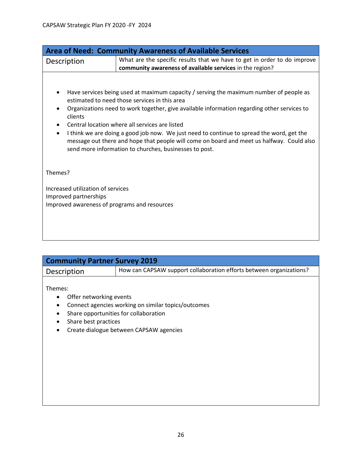| <b>Area of Need: Community Awareness of Available Services</b>                                                                                                                                                                                                                                                                                                                                                                                                                                                                                          |                                                                                                                                      |
|---------------------------------------------------------------------------------------------------------------------------------------------------------------------------------------------------------------------------------------------------------------------------------------------------------------------------------------------------------------------------------------------------------------------------------------------------------------------------------------------------------------------------------------------------------|--------------------------------------------------------------------------------------------------------------------------------------|
| Description                                                                                                                                                                                                                                                                                                                                                                                                                                                                                                                                             | What are the specific results that we have to get in order to do improve<br>community awareness of available services in the region? |
| Have services being used at maximum capacity / serving the maximum number of people as<br>estimated to need those services in this area<br>Organizations need to work together, give available information regarding other services to<br>clients<br>Central location where all services are listed<br>I think we are doing a good job now. We just need to continue to spread the word, get the<br>message out there and hope that people will come on board and meet us halfway. Could also<br>send more information to churches, businesses to post. |                                                                                                                                      |
| Themes?                                                                                                                                                                                                                                                                                                                                                                                                                                                                                                                                                 |                                                                                                                                      |
| Increased utilization of services<br>Improved partnerships<br>Improved awareness of programs and resources                                                                                                                                                                                                                                                                                                                                                                                                                                              |                                                                                                                                      |

| <b>Community Partner Survey 2019</b> |                                                                     |
|--------------------------------------|---------------------------------------------------------------------|
| Description                          | How can CAPSAW support collaboration efforts between organizations? |
|                                      |                                                                     |

Themes:

- Offer networking events
- Connect agencies working on similar topics/outcomes
- Share opportunities for collaboration
- Share best practices
- Create dialogue between CAPSAW agencies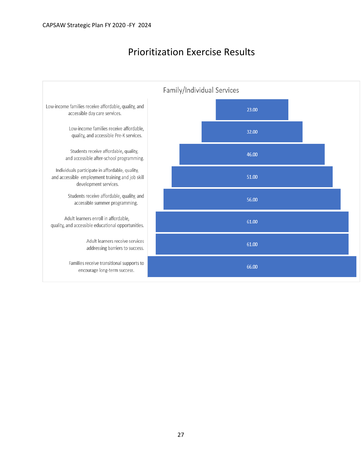### Prioritization Exercise Results

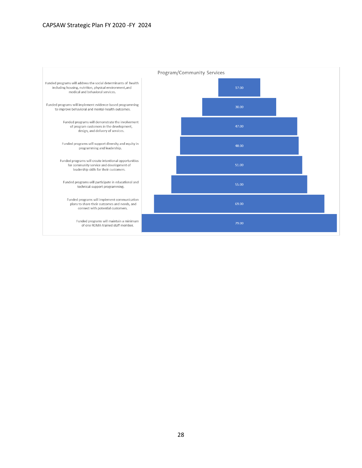#### CAPSAW Strategic Plan FY 2020 -FY 2024

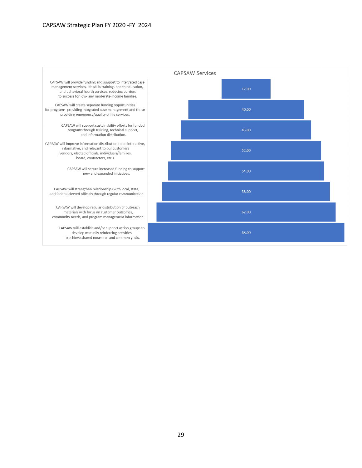#### CAPSAW Strategic Plan FY 2020 -FY 2024

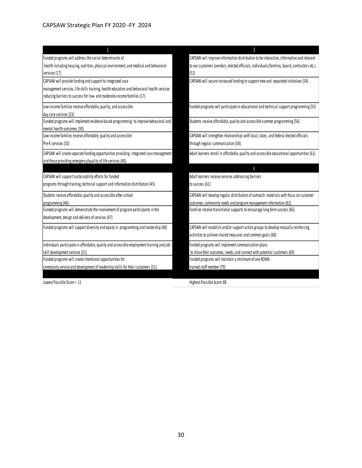| Funded programs will address the social determinants of                                                                                                                                                                             | CAPSAW will improve information distribution to be interactive, informative and relevant                                                          |
|-------------------------------------------------------------------------------------------------------------------------------------------------------------------------------------------------------------------------------------|---------------------------------------------------------------------------------------------------------------------------------------------------|
| health including housing, nutrition, physical environment, and medical and behavioral<br>services (17)                                                                                                                              | to our customers (vendors, elected officials, individuals/families, board, contractors etc.)<br>(52)                                              |
| CAPSAW will provide funding and support to integrated case<br>management services, life skills training, health education and behavioral health services<br>reducing barriers to success for low- and moderate-income families (17) | CAPSAW will secure increased funding to support new and expanded initiatives (54)                                                                 |
| Low-income families receive affordable, quality, and accessible<br>day care services (23)                                                                                                                                           | Funded programs will participate in educational and technical support programming (55)                                                            |
| Funded programs will implement evidence-based programming to improve behavioral and<br>mental health outcomes (30)                                                                                                                  | Students receive affordable, quality and accessible summer programming (56)                                                                       |
| Low income families receive affordable, quality and accessible<br>Pre-K services (32)                                                                                                                                               | CAPSAW will strengthen relationships with local, state, and federal elected officials<br>through regular communication (58)                       |
| CAPSAW will create separate funding opportunities providing integrated case management<br>and those providing emergency/quality of life services (40)                                                                               | Adult learners enroll in affordable, quality and accessible educational opportunities (61)                                                        |
|                                                                                                                                                                                                                                     | $\Lambda$                                                                                                                                         |
| CAPSAW will support sustainability efforts for funded                                                                                                                                                                               | Adult learners receive services addressing barriers                                                                                               |
| programs through training, technical support and information distribution (45)                                                                                                                                                      | to success (61)                                                                                                                                   |
| Students receive affordable, quality and accessible after-school                                                                                                                                                                    | CAPSAW will develop regular distribution of outreach materials with focus on customer                                                             |
| programming (46)                                                                                                                                                                                                                    | outcomes, community needs and program management information (62)                                                                                 |
| Funded programs will demonstrate the involvement of program participants in the<br>development, design and delivery of services (47)                                                                                                | Families receive transitional supports to encourage long term success (66)                                                                        |
| Funded programs will support diversity and equity in programming and leadership (48)                                                                                                                                                | CAPSAW will establish and/or support action groups to develop mutually-reinforcing<br>activities to achieve shared measures and common goals (68) |
| Individuals participate in affordable, quality and accessible employment training and job-                                                                                                                                          | Funded programs will implement communication plans                                                                                                |
| skill development services (51)                                                                                                                                                                                                     | to share their outcomes, needs, and connect with potential customers (69)                                                                         |
| Funded programs will create intentional opportunities for                                                                                                                                                                           | Funded programs will maintain a minimum of one ROMA                                                                                               |
| community service and development of leadership skills for their customers (51)                                                                                                                                                     | trained staff member (79)                                                                                                                         |
| Lowest Possible Score = 11                                                                                                                                                                                                          | Highest Possible Score: 88                                                                                                                        |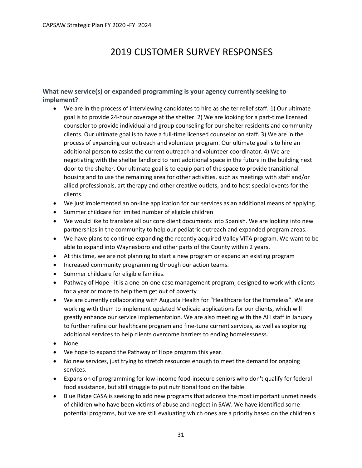## 2019 CUSTOMER SURVEY RESPONSES

#### **What new service(s) or expanded programming is your agency currently seeking to implement?**

- We are in the process of interviewing candidates to hire as shelter relief staff. 1) Our ultimate goal is to provide 24-hour coverage at the shelter. 2) We are looking for a part-time licensed counselor to provide individual and group counseling for our shelter residents and community clients. Our ultimate goal is to have a full-time licensed counselor on staff. 3) We are in the process of expanding our outreach and volunteer program. Our ultimate goal is to hire an additional person to assist the current outreach and volunteer coordinator. 4) We are negotiating with the shelter landlord to rent additional space in the future in the building next door to the shelter. Our ultimate goal is to equip part of the space to provide transitional housing and to use the remaining area for other activities, such as meetings with staff and/or allied professionals, art therapy and other creative outlets, and to host special events for the clients.
- We just implemented an on-line application for our services as an additional means of applying.
- Summer childcare for limited number of eligible children
- We would like to translate all our core client documents into Spanish. We are looking into new partnerships in the community to help our pediatric outreach and expanded program areas.
- We have plans to continue expanding the recently acquired Valley VITA program. We want to be able to expand into Waynesboro and other parts of the County within 2 years.
- At this time, we are not planning to start a new program or expand an existing program
- Increased community programming through our action teams.
- Summer childcare for eligible families.
- Pathway of Hope it is a one-on-one case management program, designed to work with clients for a year or more to help them get out of poverty
- We are currently collaborating with Augusta Health for "Healthcare for the Homeless". We are working with them to implement updated Medicaid applications for our clients, which will greatly enhance our service implementation. We are also meeting with the AH staff in January to further refine our healthcare program and fine-tune current services, as well as exploring additional services to help clients overcome barriers to ending homelessness.
- None
- We hope to expand the Pathway of Hope program this year.
- No new services, just trying to stretch resources enough to meet the demand for ongoing services.
- Expansion of programming for low-income food-insecure seniors who don't qualify for federal food assistance, but still struggle to put nutritional food on the table.
- Blue Ridge CASA is seeking to add new programs that address the most important unmet needs of children who have been victims of abuse and neglect in SAW. We have identified some potential programs, but we are still evaluating which ones are a priority based on the children's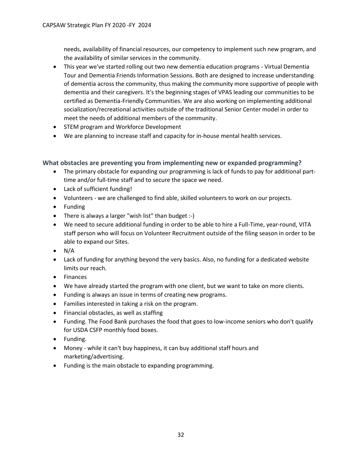needs, availability of financial resources, our competency to implement such new program, and the availability of similar services in the community.

- This year we've started rolling out two new dementia education programs Virtual Dementia Tour and Dementia Friends Information Sessions. Both are designed to increase understanding of dementia across the community, thus making the community more supportive of people with dementia and their caregivers. It's the beginning stages of VPAS leading our communities to be certified as Dementia-Friendly Communities. We are also working on implementing additional socialization/recreational activities outside of the traditional Senior Center model in order to meet the needs of additional members of the community.
- STEM program and Workforce Development
- We are planning to increase staff and capacity for in-house mental health services.

**What obstacles are preventing you from implementing new or expanded programming?**

- The primary obstacle for expanding our programming is lack of funds to pay for additional parttime and/or full-time staff and to secure the space we need.
- Lack of sufficient funding!
- Volunteers we are challenged to find able, skilled volunteers to work on our projects.
- Funding
- There is always a larger "wish list" than budget :-)
- We need to secure additional funding in order to be able to hire a Full-Time, year-round, VITA staff person who will focus on Volunteer Recruitment outside of the filing season in order to be able to expand our Sites.
- $\bullet$  N/A
- Lack of funding for anything beyond the very basics. Also, no funding for a dedicated website limits our reach.
- Finances
- We have already started the program with one client, but we want to take on more clients.
- Funding is always an issue in terms of creating new programs.
- Families interested in taking a risk on the program.
- Financial obstacles, as well as staffing
- Funding. The Food Bank purchases the food that goes to low-income seniors who don't qualify for USDA CSFP monthly food boxes.
- Funding.
- Money while it can't buy happiness, it can buy additional staff hours and marketing/advertising.
- Funding is the main obstacle to expanding programming.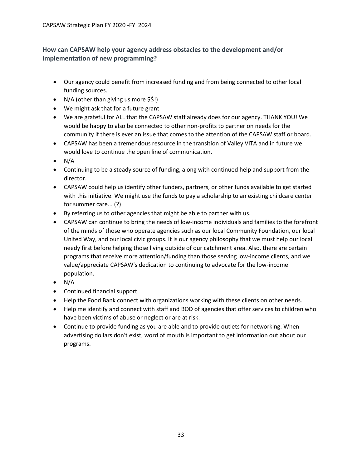#### **How can CAPSAW help your agency address obstacles to the development and/or implementation of new programming?**

- Our agency could benefit from increased funding and from being connected to other local funding sources.
- N/A (other than giving us more \$\$!)
- We might ask that for a future grant
- We are grateful for ALL that the CAPSAW staff already does for our agency. THANK YOU! We would be happy to also be connected to other non-profits to partner on needs for the community if there is ever an issue that comes to the attention of the CAPSAW staff or board.
- CAPSAW has been a tremendous resource in the transition of Valley VITA and in future we would love to continue the open line of communication.
- $\bullet$  N/A
- Continuing to be a steady source of funding, along with continued help and support from the director.
- CAPSAW could help us identify other funders, partners, or other funds available to get started with this initiative. We might use the funds to pay a scholarship to an existing childcare center for summer care... (?)
- By referring us to other agencies that might be able to partner with us.
- CAPSAW can continue to bring the needs of low-income individuals and families to the forefront of the minds of those who operate agencies such as our local Community Foundation, our local United Way, and our local civic groups. It is our agency philosophy that we must help our local needy first before helping those living outside of our catchment area. Also, there are certain programs that receive more attention/funding than those serving low-income clients, and we value/appreciate CAPSAW's dedication to continuing to advocate for the low-income population.
- $\bullet$  N/A
- Continued financial support
- Help the Food Bank connect with organizations working with these clients on other needs.
- Help me identify and connect with staff and BOD of agencies that offer services to children who have been victims of abuse or neglect or are at risk.
- Continue to provide funding as you are able and to provide outlets for networking. When advertising dollars don't exist, word of mouth is important to get information out about our programs.